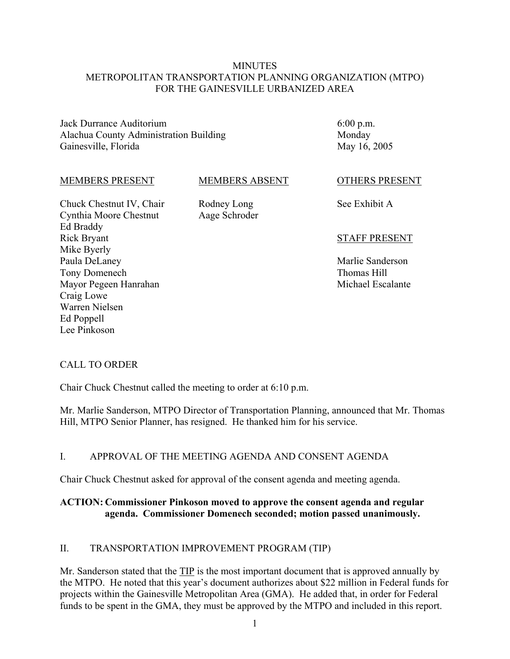### **MINUTES** METROPOLITAN TRANSPORTATION PLANNING ORGANIZATION (MTPO) FOR THE GAINESVILLE URBANIZED AREA

Jack Durrance Auditorium Alachua County Administration Building Gainesville, Florida

6:00 p.m. Monday May 16, 2005

#### MEMBERS PRESENT

#### MEMBERS ABSENT

Chuck Chestnut IV, Chair Cynthia Moore Chestnut Ed Braddy Rick Bryant Mike Byerly Paula DeLaney Tony Domenech Mayor Pegeen Hanrahan Craig Lowe Warren Nielsen Ed Poppell Lee Pinkoson

Rodney Long Aage Schroder

#### OTHERS PRESENT

See Exhibit A

#### STAFF PRESENT

Marlie Sanderson Thomas Hill Michael Escalante

### CALL TO ORDER

Chair Chuck Chestnut called the meeting to order at 6:10 p.m.

Mr. Marlie Sanderson, MTPO Director of Transportation Planning, announced that Mr. Thomas Hill, MTPO Senior Planner, has resigned. He thanked him for his service.

### I. APPROVAL OF THE MEETING AGENDA AND CONSENT AGENDA

Chair Chuck Chestnut asked for approval of the consent agenda and meeting agenda.

## **ACTION: Commissioner Pinkoson moved to approve the consent agenda and regular agenda. Commissioner Domenech seconded; motion passed unanimously.**

### II. TRANSPORTATION IMPROVEMENT PROGRAM (TIP)

Mr. Sanderson stated that the TIP is the most important document that is approved annually by the MTPO. He noted that this year's document authorizes about \$22 million in Federal funds for projects within the Gainesville Metropolitan Area (GMA). He added that, in order for Federal funds to be spent in the GMA, they must be approved by the MTPO and included in this report.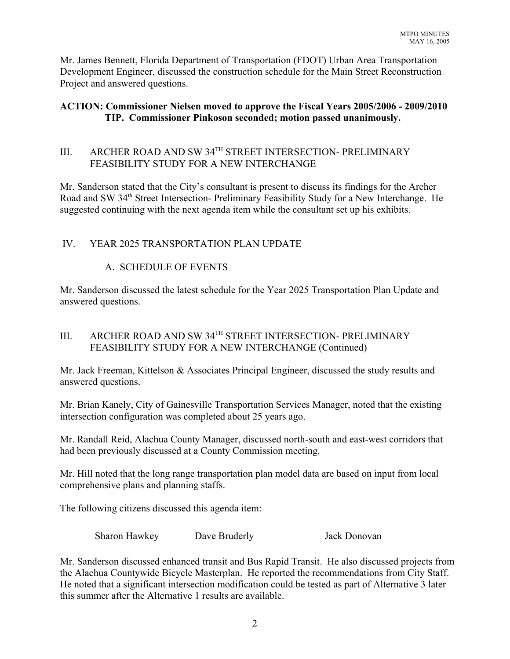Mr. James Bennett, Florida Department of Transportation (FDOT) Urban Area Transportation Development Engineer, discussed the construction schedule for the Main Street Reconstruction Project and answered questions.

# **ACTION: Commissioner Nielsen moved to approve the Fiscal Years 2005/2006 - 2009/2010 TIP. Commissioner Pinkoson seconded; motion passed unanimously.**

# III. ARCHER ROAD AND SW 34TH STREET INTERSECTION- PRELIMINARY FEASIBILITY STUDY FOR A NEW INTERCHANGE

Mr. Sanderson stated that the City's consultant is present to discuss its findings for the Archer Road and SW 34<sup>th</sup> Street Intersection- Preliminary Feasibility Study for a New Interchange. He suggested continuing with the next agenda item while the consultant set up his exhibits.

# IV. YEAR 2025 TRANSPORTATION PLAN UPDATE

# A. SCHEDULE OF EVENTS

Mr. Sanderson discussed the latest schedule for the Year 2025 Transportation Plan Update and answered questions.

# III. ARCHER ROAD AND SW 34TH STREET INTERSECTION- PRELIMINARY FEASIBILITY STUDY FOR A NEW INTERCHANGE (Continued)

Mr. Jack Freeman, Kittelson & Associates Principal Engineer, discussed the study results and answered questions.

Mr. Brian Kanely, City of Gainesville Transportation Services Manager, noted that the existing intersection configuration was completed about 25 years ago.

Mr. Randall Reid, Alachua County Manager, discussed north-south and east-west corridors that had been previously discussed at a County Commission meeting.

Mr. Hill noted that the long range transportation plan model data are based on input from local comprehensive plans and planning staffs.

The following citizens discussed this agenda item:

Sharon Hawkey Dave Bruderly Jack Donovan

Mr. Sanderson discussed enhanced transit and Bus Rapid Transit. He also discussed projects from the Alachua Countywide Bicycle Masterplan. He reported the recommendations from City Staff. He noted that a significant intersection modification could be tested as part of Alternative 3 later this summer after the Alternative 1 results are available.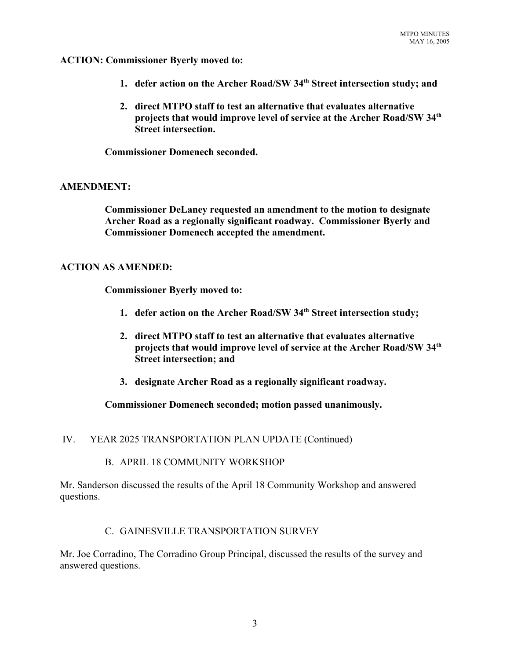**ACTION: Commissioner Byerly moved to:**

- **1. defer action on the Archer Road/SW 34th Street intersection study; and**
- **2. direct MTPO staff to test an alternative that evaluates alternative projects that would improve level of service at the Archer Road/SW 34th Street intersection.**

**Commissioner Domenech seconded.**

### **AMENDMENT:**

**Commissioner DeLaney requested an amendment to the motion to designate Archer Road as a regionally significant roadway. Commissioner Byerly and Commissioner Domenech accepted the amendment.**

### **ACTION AS AMENDED:**

**Commissioner Byerly moved to:**

- **1. defer action on the Archer Road/SW 34th Street intersection study;**
- **2. direct MTPO staff to test an alternative that evaluates alternative projects that would improve level of service at the Archer Road/SW 34th Street intersection; and**
- **3. designate Archer Road as a regionally significant roadway.**

### **Commissioner Domenech seconded; motion passed unanimously.**

### IV. YEAR 2025 TRANSPORTATION PLAN UPDATE (Continued)

#### B. APRIL 18 COMMUNITY WORKSHOP

Mr. Sanderson discussed the results of the April 18 Community Workshop and answered questions.

### C. GAINESVILLE TRANSPORTATION SURVEY

Mr. Joe Corradino, The Corradino Group Principal, discussed the results of the survey and answered questions.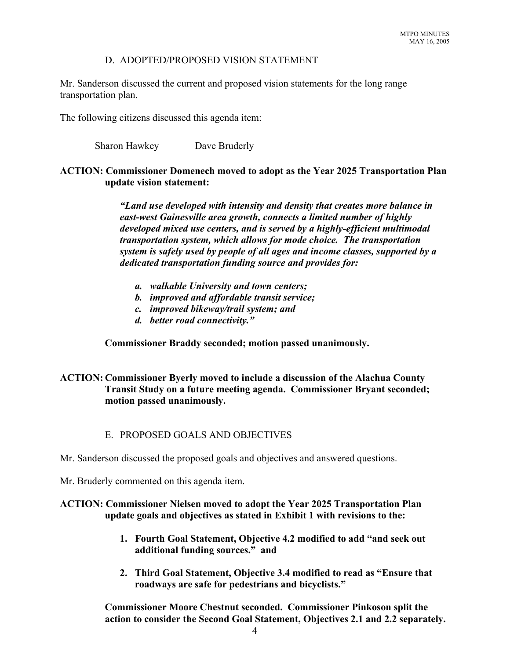### D. ADOPTED/PROPOSED VISION STATEMENT

Mr. Sanderson discussed the current and proposed vision statements for the long range transportation plan.

The following citizens discussed this agenda item:

Sharon Hawkey Dave Bruderly

# **ACTION: Commissioner Domenech moved to adopt as the Year 2025 Transportation Plan update vision statement:**

*"Land use developed with intensity and density that creates more balance in east-west Gainesville area growth, connects a limited number of highly developed mixed use centers, and is served by a highly-efficient multimodal transportation system, which allows for mode choice. The transportation system is safely used by people of all ages and income classes, supported by a dedicated transportation funding source and provides for:*

- *a. walkable University and town centers;*
- *b. improved and affordable transit service;*
- *c. improved bikeway/trail system; and*
- *d. better road connectivity."*

### **Commissioner Braddy seconded; motion passed unanimously.**

# **ACTION: Commissioner Byerly moved to include a discussion of the Alachua County Transit Study on a future meeting agenda. Commissioner Bryant seconded; motion passed unanimously.**

### E. PROPOSED GOALS AND OBJECTIVES

Mr. Sanderson discussed the proposed goals and objectives and answered questions.

Mr. Bruderly commented on this agenda item.

## **ACTION: Commissioner Nielsen moved to adopt the Year 2025 Transportation Plan update goals and objectives as stated in Exhibit 1 with revisions to the:**

- **1. Fourth Goal Statement, Objective 4.2 modified to add "and seek out additional funding sources." and**
- **2. Third Goal Statement, Objective 3.4 modified to read as "Ensure that roadways are safe for pedestrians and bicyclists."**

**Commissioner Moore Chestnut seconded. Commissioner Pinkoson split the action to consider the Second Goal Statement, Objectives 2.1 and 2.2 separately.**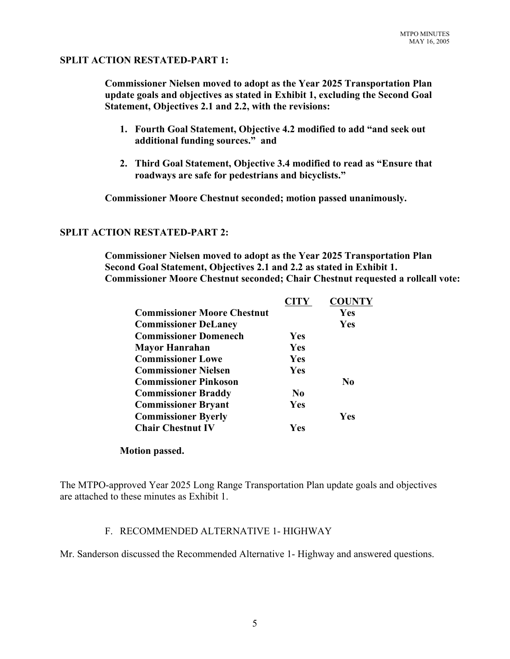### **SPLIT ACTION RESTATED-PART 1:**

**Commissioner Nielsen moved to adopt as the Year 2025 Transportation Plan update goals and objectives as stated in Exhibit 1, excluding the Second Goal Statement, Objectives 2.1 and 2.2, with the revisions:**

- **1. Fourth Goal Statement, Objective 4.2 modified to add "and seek out additional funding sources." and**
- **2. Third Goal Statement, Objective 3.4 modified to read as "Ensure that roadways are safe for pedestrians and bicyclists."**

**Commissioner Moore Chestnut seconded; motion passed unanimously.**

#### **SPLIT ACTION RESTATED-PART 2:**

**Commissioner Nielsen moved to adopt as the Year 2025 Transportation Plan Second Goal Statement, Objectives 2.1 and 2.2 as stated in Exhibit 1. Commissioner Moore Chestnut seconded; Chair Chestnut requested a rollcall vote:**

|                                    | <b>CITY</b>    | <b>COUNTY</b> |
|------------------------------------|----------------|---------------|
| <b>Commissioner Moore Chestnut</b> |                | Yes           |
| <b>Commissioner DeLaney</b>        |                | Yes           |
| <b>Commissioner Domenech</b>       | <b>Yes</b>     |               |
| <b>Mayor Hanrahan</b>              | Yes            |               |
| <b>Commissioner Lowe</b>           | Yes            |               |
| <b>Commissioner Nielsen</b>        | Yes            |               |
| <b>Commissioner Pinkoson</b>       |                | No            |
| <b>Commissioner Braddy</b>         | N <sub>0</sub> |               |
| <b>Commissioner Bryant</b>         | Yes            |               |
| <b>Commissioner Byerly</b>         |                | Yes           |
| <b>Chair Chestnut IV</b>           | Yes            |               |

#### **Motion passed.**

The MTPO-approved Year 2025 Long Range Transportation Plan update goals and objectives are attached to these minutes as Exhibit 1.

### F. RECOMMENDED ALTERNATIVE 1- HIGHWAY

Mr. Sanderson discussed the Recommended Alternative 1- Highway and answered questions.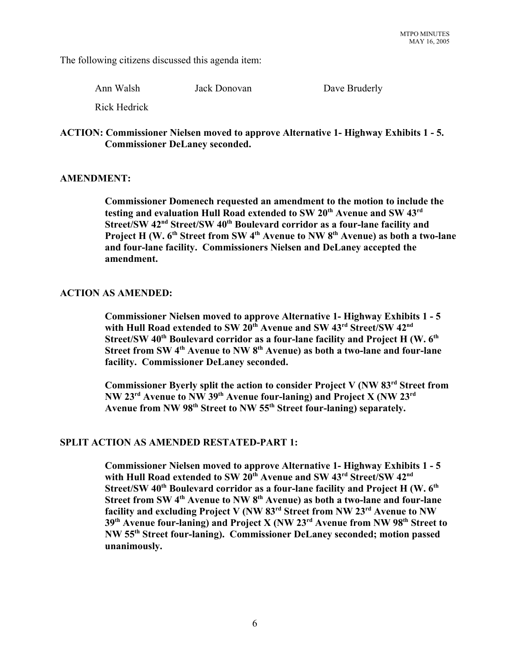The following citizens discussed this agenda item:

Ann Walsh Jack Donovan Dave Bruderly

Rick Hedrick

### **ACTION: Commissioner Nielsen moved to approve Alternative 1- Highway Exhibits 1 - 5. Commissioner DeLaney seconded.**

## **AMENDMENT:**

**Commissioner Domenech requested an amendment to the motion to include the** testing and evaluation Hull Road extended to SW 20<sup>th</sup> Avenue and SW 43<sup>rd</sup> **Street/SW 42nd Street/SW 40th Boulevard corridor as a four-lane facility and** Project H (W. 6<sup>th</sup> Street from SW 4<sup>th</sup> Avenue to NW 8<sup>th</sup> Avenue) as both a two-lane **and four-lane facility. Commissioners Nielsen and DeLaney accepted the amendment.**

## **ACTION AS AMENDED:**

**Commissioner Nielsen moved to approve Alternative 1- Highway Exhibits 1 - 5** with Hull Road extended to SW 20<sup>th</sup> Avenue and SW 43<sup>rd</sup> Street/SW 42<sup>nd</sup> Street/SW 40<sup>th</sup> Boulevard corridor as a four-lane facility and Project H (W. 6<sup>th</sup>) **Street from SW 4th Avenue to NW 8th Avenue) as both a two-lane and four-lane facility. Commissioner DeLaney seconded.** 

**Commissioner Byerly split the action to consider Project V (NW 83rd Street from NW 23rd Avenue to NW 39th Avenue four-laning) and Project X (NW 23rd Avenue from NW 98th Street to NW 55th Street four-laning) separately.** 

# **SPLIT ACTION AS AMENDED RESTATED-PART 1:**

**Commissioner Nielsen moved to approve Alternative 1- Highway Exhibits 1 - 5** with Hull Road extended to SW 20<sup>th</sup> Avenue and SW 43<sup>rd</sup> Street/SW 42<sup>nd</sup> Street/SW 40<sup>th</sup> Boulevard corridor as a four-lane facility and Project H (W. 6<sup>th</sup>) **Street from SW 4<sup>th</sup> Avenue to NW 8<sup>th</sup> Avenue) as both a two-lane and four-lane facility and excluding Project V (NW 83rd Street from NW 23rd Avenue to NW 39th Avenue four-laning) and Project X (NW 23rd Avenue from NW 98th Street to NW 55th Street four-laning). Commissioner DeLaney seconded; motion passed unanimously.**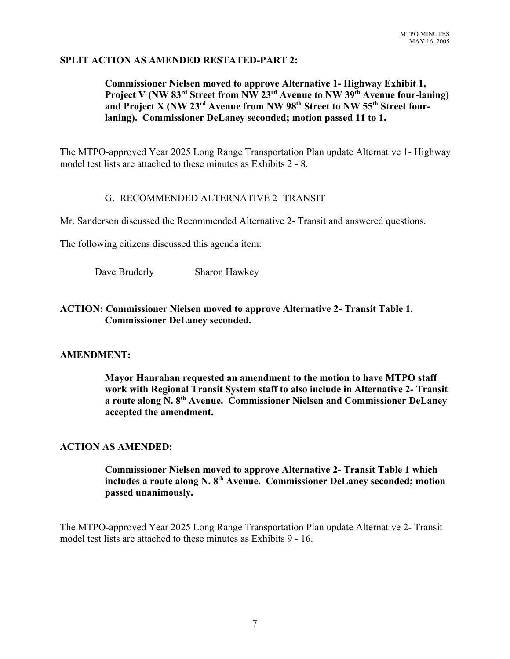## **SPLIT ACTION AS AMENDED RESTATED-PART 2:**

# **Commissioner Nielsen moved to approve Alternative 1- Highway Exhibit 1, Project V (NW 83rd Street from NW 23rd Avenue to NW 39th Avenue four-laning)** and Project X (NW 23<sup>rd</sup> Avenue from NW 98<sup>th</sup> Street to NW 55<sup>th</sup> Street four**laning). Commissioner DeLaney seconded; motion passed 11 to 1.**

The MTPO-approved Year 2025 Long Range Transportation Plan update Alternative 1- Highway model test lists are attached to these minutes as Exhibits 2 - 8.

## G. RECOMMENDED ALTERNATIVE 2- TRANSIT

Mr. Sanderson discussed the Recommended Alternative 2- Transit and answered questions.

The following citizens discussed this agenda item:

Dave Bruderly Sharon Hawkey

# **ACTION: Commissioner Nielsen moved to approve Alternative 2- Transit Table 1. Commissioner DeLaney seconded.**

# **AMENDMENT:**

**Mayor Hanrahan requested an amendment to the motion to have MTPO staff work with Regional Transit System staff to also include in Alternative 2- Transit a route along N. 8th Avenue. Commissioner Nielsen and Commissioner DeLaney accepted the amendment.**

# **ACTION AS AMENDED:**

**Commissioner Nielsen moved to approve Alternative 2- Transit Table 1 which includes a route along N. 8th Avenue. Commissioner DeLaney seconded; motion passed unanimously.**

The MTPO-approved Year 2025 Long Range Transportation Plan update Alternative 2- Transit model test lists are attached to these minutes as Exhibits 9 - 16.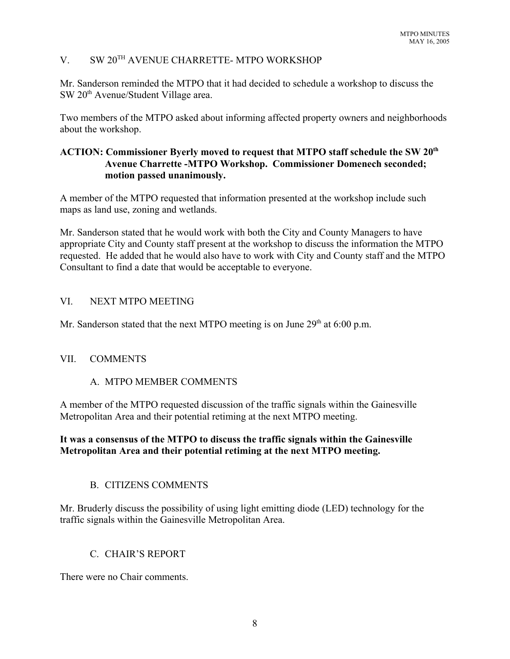# V. SW 20TH AVENUE CHARRETTE- MTPO WORKSHOP

Mr. Sanderson reminded the MTPO that it had decided to schedule a workshop to discuss the SW 20<sup>th</sup> Avenue/Student Village area.

Two members of the MTPO asked about informing affected property owners and neighborhoods about the workshop.

# **ACTION: Commissioner Byerly moved to request that MTPO staff schedule the SW 20th Avenue Charrette -MTPO Workshop. Commissioner Domenech seconded; motion passed unanimously.**

A member of the MTPO requested that information presented at the workshop include such maps as land use, zoning and wetlands.

Mr. Sanderson stated that he would work with both the City and County Managers to have appropriate City and County staff present at the workshop to discuss the information the MTPO requested. He added that he would also have to work with City and County staff and the MTPO Consultant to find a date that would be acceptable to everyone.

## VI. NEXT MTPO MEETING

Mr. Sanderson stated that the next MTPO meeting is on June  $29<sup>th</sup>$  at 6:00 p.m.

### VII. COMMENTS

# A. MTPO MEMBER COMMENTS

A member of the MTPO requested discussion of the traffic signals within the Gainesville Metropolitan Area and their potential retiming at the next MTPO meeting.

# **It was a consensus of the MTPO to discuss the traffic signals within the Gainesville Metropolitan Area and their potential retiming at the next MTPO meeting.**

# B. CITIZENS COMMENTS

Mr. Bruderly discuss the possibility of using light emitting diode (LED) technology for the traffic signals within the Gainesville Metropolitan Area.

# C. CHAIR'S REPORT

There were no Chair comments.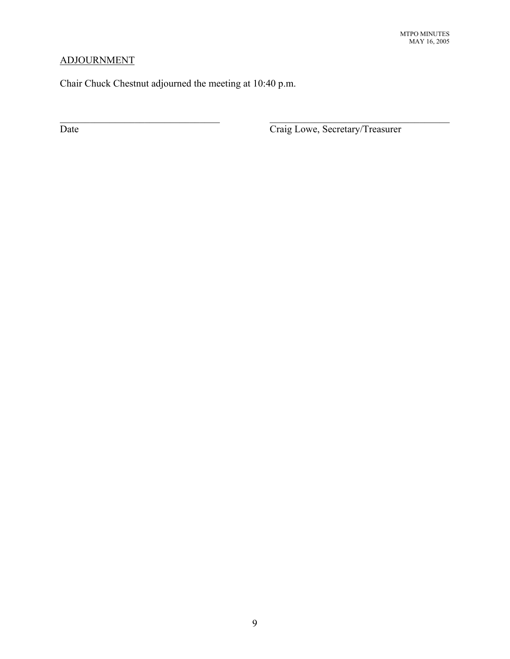# ADJOURNMENT

Chair Chuck Chestnut adjourned the meeting at 10:40 p.m.

Date Craig Lowe, Secretary/Treasurer

 $\mathcal{L}_\text{max}$  , and the contribution of the contribution of the contribution of the contribution of the contribution of the contribution of the contribution of the contribution of the contribution of the contribution of t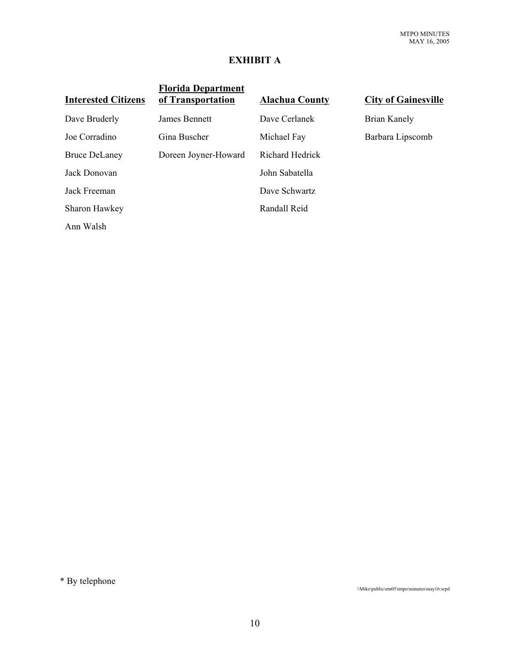# **EXHIBIT A**

| <b>Florida Department</b><br>of Transportation | <b>Alachua County</b>  | <b>City of Gainesville</b> |
|------------------------------------------------|------------------------|----------------------------|
| James Bennett                                  | Dave Cerlanek          | Brian Kanely               |
| Gina Buscher                                   | Michael Fay            | Barbara Lipscomb           |
| Doreen Joyner-Howard                           | <b>Richard Hedrick</b> |                            |
|                                                | John Sabatella         |                            |
|                                                | Dave Schwartz          |                            |
|                                                | Randall Reid           |                            |
|                                                |                        |                            |
|                                                |                        |                            |

\* By telephone

\\Mike\public\em05\mtpo\minutes\may16.wpd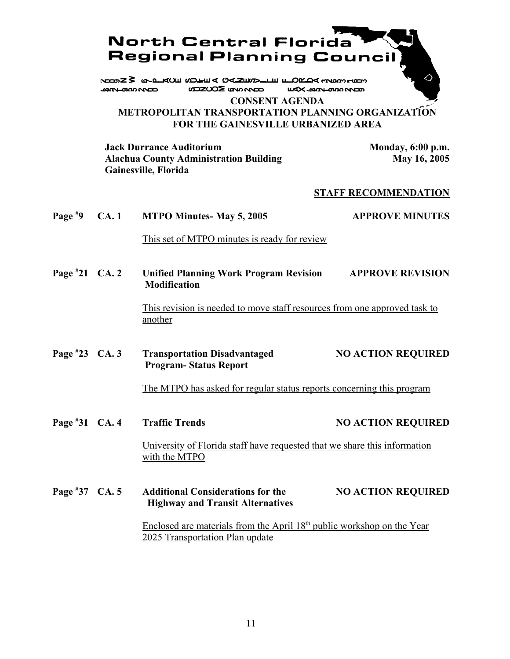

# **METROPOLITAN TRANSPORTATION PLANNING ORGANIZATION FOR THE GAINESVILLE URBANIZED AREA**

**Jack Durrance Auditorium Monday, 6:00 p.m.**<br>Alachua County Administration Building May 16, 2005 **Alachua County Administration Building Gainesville, Florida**

#### **STAFF RECOMMENDATION**

| Page $*9$        | CA.1 | <b>MTPO Minutes-May 5, 2005</b>                                                                                       | <b>APPROVE MINUTES</b>    |
|------------------|------|-----------------------------------------------------------------------------------------------------------------------|---------------------------|
|                  |      | This set of MTPO minutes is ready for review                                                                          |                           |
| Page $*21$ CA. 2 |      | <b>Unified Planning Work Program Revision</b><br><b>Modification</b>                                                  | <b>APPROVE REVISION</b>   |
|                  |      | This revision is needed to move staff resources from one approved task to<br>another                                  |                           |
| Page $*23$ CA. 3 |      | <b>Transportation Disadvantaged</b><br><b>Program-Status Report</b>                                                   | <b>NO ACTION REQUIRED</b> |
|                  |      | The MTPO has asked for regular status reports concerning this program                                                 |                           |
| Page #31 CA. 4   |      | <b>Traffic Trends</b>                                                                                                 | <b>NO ACTION REQUIRED</b> |
|                  |      | University of Florida staff have requested that we share this information<br>with the MTPO                            |                           |
| Page $*37$ CA. 5 |      | <b>Additional Considerations for the</b><br><b>Highway and Transit Alternatives</b>                                   | <b>NO ACTION REQUIRED</b> |
|                  |      | Enclosed are materials from the April 18 <sup>th</sup> public workshop on the Year<br>2025 Transportation Plan update |                           |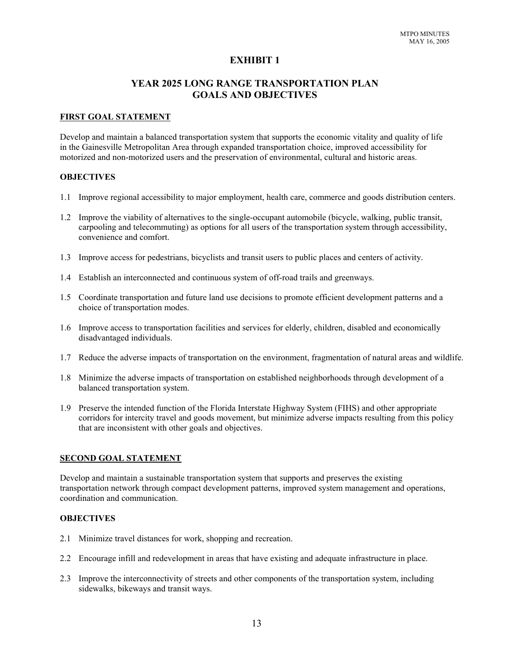### **EXHIBIT 1**

### **YEAR 2025 LONG RANGE TRANSPORTATION PLAN GOALS AND OBJECTIVES**

#### **FIRST GOAL STATEMENT**

Develop and maintain a balanced transportation system that supports the economic vitality and quality of life in the Gainesville Metropolitan Area through expanded transportation choice, improved accessibility for motorized and non-motorized users and the preservation of environmental, cultural and historic areas.

#### **OBJECTIVES**

- 1.1 Improve regional accessibility to major employment, health care, commerce and goods distribution centers.
- 1.2 Improve the viability of alternatives to the single-occupant automobile (bicycle, walking, public transit, carpooling and telecommuting) as options for all users of the transportation system through accessibility, convenience and comfort.
- 1.3 Improve access for pedestrians, bicyclists and transit users to public places and centers of activity.
- 1.4 Establish an interconnected and continuous system of off-road trails and greenways.
- 1.5 Coordinate transportation and future land use decisions to promote efficient development patterns and a choice of transportation modes.
- 1.6 Improve access to transportation facilities and services for elderly, children, disabled and economically disadvantaged individuals.
- 1.7 Reduce the adverse impacts of transportation on the environment, fragmentation of natural areas and wildlife.
- 1.8 Minimize the adverse impacts of transportation on established neighborhoods through development of a balanced transportation system.
- 1.9 Preserve the intended function of the Florida Interstate Highway System (FIHS) and other appropriate corridors for intercity travel and goods movement, but minimize adverse impacts resulting from this policy that are inconsistent with other goals and objectives.

#### **SECOND GOAL STATEMENT**

Develop and maintain a sustainable transportation system that supports and preserves the existing transportation network through compact development patterns, improved system management and operations, coordination and communication.

#### **OBJECTIVES**

- 2.1 Minimize travel distances for work, shopping and recreation.
- 2.2 Encourage infill and redevelopment in areas that have existing and adequate infrastructure in place.
- 2.3 Improve the interconnectivity of streets and other components of the transportation system, including sidewalks, bikeways and transit ways.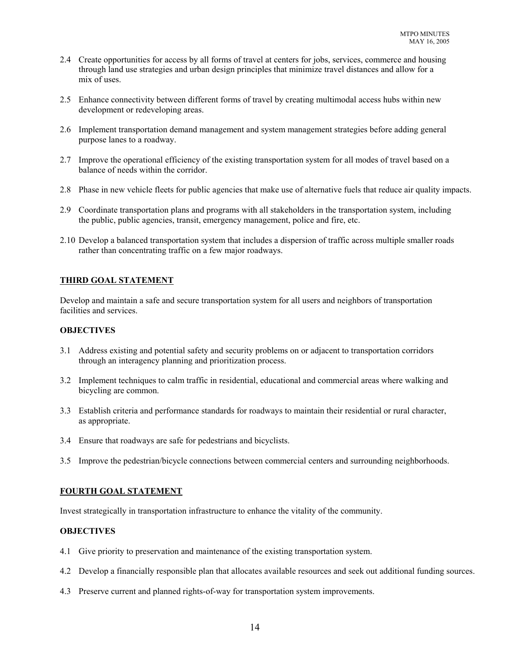- 2.4 Create opportunities for access by all forms of travel at centers for jobs, services, commerce and housing through land use strategies and urban design principles that minimize travel distances and allow for a mix of uses.
- 2.5 Enhance connectivity between different forms of travel by creating multimodal access hubs within new development or redeveloping areas.
- 2.6 Implement transportation demand management and system management strategies before adding general purpose lanes to a roadway.
- 2.7 Improve the operational efficiency of the existing transportation system for all modes of travel based on a balance of needs within the corridor.
- 2.8 Phase in new vehicle fleets for public agencies that make use of alternative fuels that reduce air quality impacts.
- 2.9 Coordinate transportation plans and programs with all stakeholders in the transportation system, including the public, public agencies, transit, emergency management, police and fire, etc.
- 2.10 Develop a balanced transportation system that includes a dispersion of traffic across multiple smaller roads rather than concentrating traffic on a few major roadways.

#### **THIRD GOAL STATEMENT**

Develop and maintain a safe and secure transportation system for all users and neighbors of transportation facilities and services.

#### **OBJECTIVES**

- 3.1 Address existing and potential safety and security problems on or adjacent to transportation corridors through an interagency planning and prioritization process.
- 3.2 Implement techniques to calm traffic in residential, educational and commercial areas where walking and bicycling are common.
- 3.3 Establish criteria and performance standards for roadways to maintain their residential or rural character, as appropriate.
- 3.4 Ensure that roadways are safe for pedestrians and bicyclists.
- 3.5 Improve the pedestrian/bicycle connections between commercial centers and surrounding neighborhoods.

#### **FOURTH GOAL STATEMENT**

Invest strategically in transportation infrastructure to enhance the vitality of the community.

#### **OBJECTIVES**

- 4.1 Give priority to preservation and maintenance of the existing transportation system.
- 4.2 Develop a financially responsible plan that allocates available resources and seek out additional funding sources.
- 4.3 Preserve current and planned rights-of-way for transportation system improvements.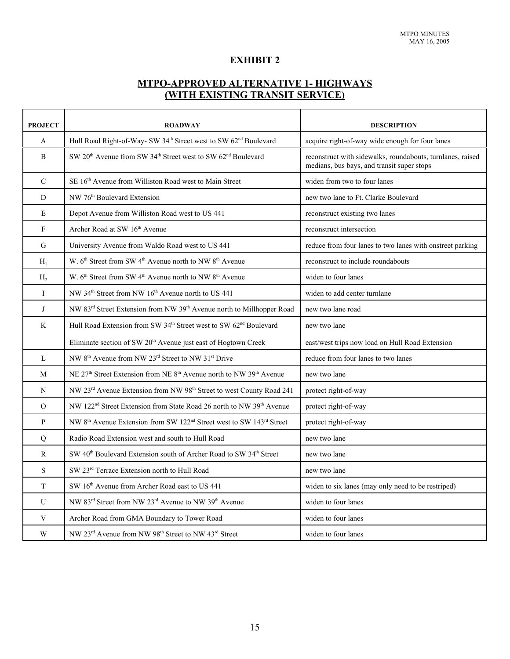# **EXHIBIT 2**

# **MTPO-APPROVED ALTERNATIVE 1- HIGHWAYS (WITH EXISTING TRANSIT SERVICE)**

| <b>PROJECT</b> | <b>ROADWAY</b>                                                                                           | <b>DESCRIPTION</b>                                                                                       |  |
|----------------|----------------------------------------------------------------------------------------------------------|----------------------------------------------------------------------------------------------------------|--|
| $\mathbf{A}$   | Hull Road Right-of-Way- SW 34 <sup>th</sup> Street west to SW 62 <sup>nd</sup> Boulevard                 | acquire right-of-way wide enough for four lanes                                                          |  |
| $\, {\bf B}$   | SW 20 <sup>th</sup> Avenue from SW 34 <sup>th</sup> Street west to SW 62 <sup>nd</sup> Boulevard         | reconstruct with sidewalks, roundabouts, turnlanes, raised<br>medians, bus bays, and transit super stops |  |
| $\mathbf C$    | SE 16 <sup>th</sup> Avenue from Williston Road west to Main Street                                       | widen from two to four lanes                                                                             |  |
| D              | NW 76 <sup>th</sup> Boulevard Extension                                                                  | new two lane to Ft. Clarke Boulevard                                                                     |  |
| ${\bf E}$      | Depot Avenue from Williston Road west to US 441                                                          | reconstruct existing two lanes                                                                           |  |
| $\mathbf F$    | Archer Road at SW 16th Avenue                                                                            | reconstruct intersection                                                                                 |  |
| G              | University Avenue from Waldo Road west to US 441                                                         | reduce from four lanes to two lanes with onstreet parking                                                |  |
| $H_1$          | W. $6th$ Street from SW 4 <sup>th</sup> Avenue north to NW 8 <sup>th</sup> Avenue                        | reconstruct to include roundabouts                                                                       |  |
| H <sub>2</sub> | W. $6^{\text{th}}$ Street from SW $4^{\text{th}}$ Avenue north to NW $8^{\text{th}}$ Avenue              | widen to four lanes                                                                                      |  |
| $\mathbf I$    | NW 34 <sup>th</sup> Street from NW 16 <sup>th</sup> Avenue north to US 441                               | widen to add center turnlane                                                                             |  |
| $\bf J$        | NW 83 <sup>rd</sup> Street Extension from NW 39 <sup>th</sup> Avenue north to Millhopper Road            | new two lane road                                                                                        |  |
| K              | Hull Road Extension from SW 34th Street west to SW 62 <sup>nd</sup> Boulevard                            | new two lane                                                                                             |  |
|                | Eliminate section of SW 20 <sup>th</sup> Avenue just east of Hogtown Creek                               | east/west trips now load on Hull Road Extension                                                          |  |
| $\mathbf{L}$   | NW 8 <sup>th</sup> Avenue from NW 23 <sup>rd</sup> Street to NW 31 <sup>st</sup> Drive                   | reduce from four lanes to two lanes                                                                      |  |
| M              | NE 27 <sup>th</sup> Street Extension from NE 8 <sup>th</sup> Avenue north to NW 39 <sup>th</sup> Avenue  | new two lane                                                                                             |  |
| N              | NW 23 <sup>rd</sup> Avenue Extension from NW 98 <sup>th</sup> Street to west County Road 241             | protect right-of-way                                                                                     |  |
| $\mathcal{O}$  | NW 122 <sup>nd</sup> Street Extension from State Road 26 north to NW 39 <sup>th</sup> Avenue             | protect right-of-way                                                                                     |  |
| $\mathbf{P}$   | NW 8 <sup>th</sup> Avenue Extension from SW 122 <sup>nd</sup> Street west to SW 143 <sup>rd</sup> Street | protect right-of-way                                                                                     |  |
| Q              | Radio Road Extension west and south to Hull Road                                                         | new two lane                                                                                             |  |
| R              | SW 40 <sup>th</sup> Boulevard Extension south of Archer Road to SW 34 <sup>th</sup> Street               | new two lane                                                                                             |  |
| $\mathbf S$    | SW 23rd Terrace Extension north to Hull Road                                                             | new two lane                                                                                             |  |
| $\mathbf T$    | SW 16 <sup>th</sup> Avenue from Archer Road east to US 441                                               | widen to six lanes (may only need to be restriped)                                                       |  |
| U              | NW 83rd Street from NW 23rd Avenue to NW 39th Avenue                                                     | widen to four lanes                                                                                      |  |
| V              | Archer Road from GMA Boundary to Tower Road                                                              | widen to four lanes                                                                                      |  |
| W              | NW 23 <sup>rd</sup> Avenue from NW 98 <sup>th</sup> Street to NW 43 <sup>rd</sup> Street                 | widen to four lanes                                                                                      |  |